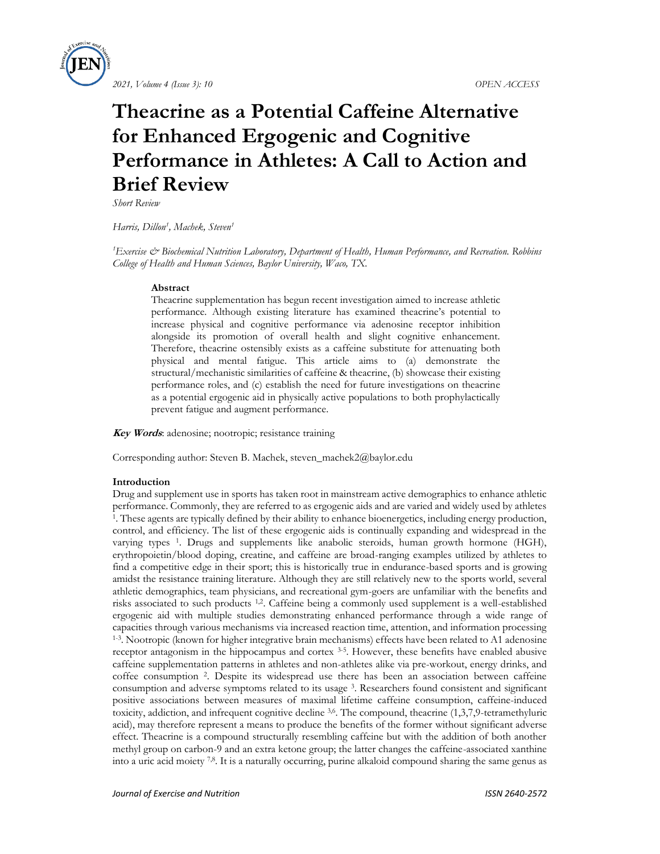

# **Theacrine as a Potential Caffeine Alternative for Enhanced Ergogenic and Cognitive Performance in Athletes: A Call to Action and Brief Review**

*Short Review*

*Harris, Dillon<sup>1</sup> , Machek, Steven<sup>1</sup>*

<sup>1</sup>*Exercise & Biochemical Nutrition Laboratory, Department of Health, Human Performance, and Recreation. Robbins College of Health and Human Sciences, Baylor University, Waco, TX.*

# **Abstract**

Theacrine supplementation has begun recent investigation aimed to increase athletic performance. Although existing literature has examined theacrine's potential to increase physical and cognitive performance via adenosine receptor inhibition alongside its promotion of overall health and slight cognitive enhancement. Therefore, theacrine ostensibly exists as a caffeine substitute for attenuating both physical and mental fatigue. This article aims to (a) demonstrate the structural/mechanistic similarities of caffeine & theacrine, (b) showcase their existing performance roles, and (c) establish the need for future investigations on theacrine as a potential ergogenic aid in physically active populations to both prophylactically prevent fatigue and augment performance.

**Key Words**: adenosine; nootropic; resistance training

Corresponding author: Steven B. Machek, steven\_machek2@baylor.edu

# **Introduction**

Drug and supplement use in sports has taken root in mainstream active demographics to enhance athletic performance. Commonly, they are referred to as ergogenic aids and are varied and widely used by athletes 1 . These agents are typically defined by their ability to enhance bioenergetics, including energy production, control, and efficiency. The list of these ergogenic aids is continually expanding and widespread in the varying types <sup>1</sup>. Drugs and supplements like anabolic steroids, human growth hormone (HGH), erythropoietin/blood doping, creatine, and caffeine are broad-ranging examples utilized by athletes to find a competitive edge in their sport; this is historically true in endurance-based sports and is growing amidst the resistance training literature. Although they are still relatively new to the sports world, several athletic demographics, team physicians, and recreational gym-goers are unfamiliar with the benefits and risks associated to such products 1,2. Caffeine being a commonly used supplement is a well-established ergogenic aid with multiple studies demonstrating enhanced performance through a wide range of capacities through various mechanisms via increased reaction time, attention, and information processing <sup>1-3</sup>. Nootropic (known for higher integrative brain mechanisms) effects have been related to A1 adenosine receptor antagonism in the hippocampus and cortex <sup>3-5</sup>. However, these benefits have enabled abusive caffeine supplementation patterns in athletes and non-athletes alike via pre-workout, energy drinks, and coffee consumption <sup>2</sup>. Despite its widespread use there has been an association between caffeine consumption and adverse symptoms related to its usage <sup>3</sup> . Researchers found consistent and significant positive associations between measures of maximal lifetime caffeine consumption, caffeine-induced toxicity, addiction, and infrequent cognitive decline 3,6. The compound, theacrine (1,3,7,9-tetramethyluric acid), may therefore represent a means to produce the benefits of the former without significant adverse effect. Theacrine is a compound structurally resembling caffeine but with the addition of both another methyl group on carbon-9 and an extra ketone group; the latter changes the caffeine-associated xanthine into a uric acid moiety 7,8. It is a naturally occurring, purine alkaloid compound sharing the same genus as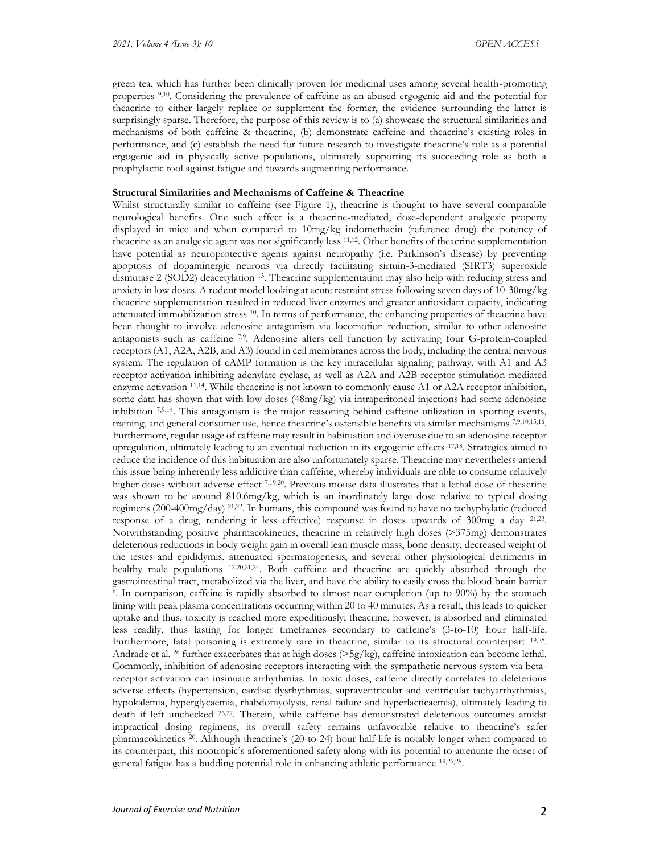green tea, which has further been clinically proven for medicinal uses among several health-promoting properties 9,10. Considering the prevalence of caffeine as an abused ergogenic aid and the potential for theacrine to either largely replace or supplement the former, the evidence surrounding the latter is surprisingly sparse. Therefore, the purpose of this review is to (a) showcase the structural similarities and mechanisms of both caffeine & theacrine, (b) demonstrate caffeine and theacrine's existing roles in performance, and (c) establish the need for future research to investigate theacrine's role as a potential ergogenic aid in physically active populations, ultimately supporting its succeeding role as both a prophylactic tool against fatigue and towards augmenting performance.

## **Structural Similarities and Mechanisms of Caffeine & Theacrine**

Whilst structurally similar to caffeine (see Figure 1), theacrine is thought to have several comparable neurological benefits. One such effect is a theacrine-mediated, dose-dependent analgesic property displayed in mice and when compared to 10mg/kg indomethacin (reference drug) the potency of theacrine as an analgesic agent was not significantly less 11,12. Other benefits of theacrine supplementation have potential as neuroprotective agents against neuropathy (i.e. Parkinson's disease) by preventing apoptosis of dopaminergic neurons via directly facilitating sirtuin-3-mediated (SIRT3) superoxide dismutase 2 (SOD2) deacetylation 13. Theacrine supplementation may also help with reducing stress and anxiety in low doses. A rodent model looking at acute restraint stress following seven days of 10-30mg/kg theacrine supplementation resulted in reduced liver enzymes and greater antioxidant capacity, indicating attenuated immobilization stress 10. In terms of performance, the enhancing properties of theacrine have been thought to involve adenosine antagonism via locomotion reduction, similar to other adenosine antagonists such as caffeine 7,9. Adenosine alters cell function by activating four G-protein-coupled receptors (A1, A2A, A2B, and A3) found in cell membranes across the body, including the central nervous system. The regulation of cAMP formation is the key intracellular signaling pathway, with A1 and A3 receptor activation inhibiting adenylate cyclase, as well as A2A and A2B receptor stimulation-mediated enzyme activation 11,14. While theacrine is not known to commonly cause A1 or A2A receptor inhibition, some data has shown that with low doses (48mg/kg) via intraperitoneal injections had some adenosine inhibition 7,9,14. This antagonism is the major reasoning behind caffeine utilization in sporting events, training, and general consumer use, hence theacrine's ostensible benefits via similar mechanisms 7,9,10,15,16. Furthermore, regular usage of caffeine may result in habituation and overuse due to an adenosine receptor upregulation, ultimately leading to an eventual reduction in its ergogenic effects 17,18. Strategies aimed to reduce the incidence of this habituation are also unfortunately sparse. Theacrine may nevertheless amend this issue being inherently less addictive than caffeine, whereby individuals are able to consume relatively higher doses without adverse effect 7,19,20. Previous mouse data illustrates that a lethal dose of theacrine was shown to be around 810.6mg/kg, which is an inordinately large dose relative to typical dosing regimens (200-400mg/day) 21,22. In humans, this compound was found to have no tachyphylatic (reduced response of a drug, rendering it less effective) response in doses upwards of 300mg a day 21,23 . Notwithstanding positive pharmacokinetics, theacrine in relatively high doses (>375mg) demonstrates deleterious reductions in body weight gain in overall lean muscle mass, bone density, decreased weight of the testes and epididymis, attenuated spermatogenesis, and several other physiological detriments in healthy male populations 12,20,21,24. Both caffeine and theacrine are quickly absorbed through the gastrointestinal tract, metabolized via the liver, and have the ability to easily cross the blood brain barrier 6 . In comparison, caffeine is rapidly absorbed to almost near completion (up to 90%) by the stomach lining with peak plasma concentrations occurring within 20 to 40 minutes. As a result, this leads to quicker uptake and thus, toxicity is reached more expeditiously; theacrine, however, is absorbed and eliminated less readily, thus lasting for longer timeframes secondary to caffeine's (3-to-10) hour half-life. Furthermore, fatal poisoning is extremely rare in theacrine, similar to its structural counterpart <sup>19,25</sup>. Andrade et al. <sup>26</sup> further exacerbates that at high doses ( $>5g/kg$ ), caffeine intoxication can become lethal. Commonly, inhibition of adenosine receptors interacting with the sympathetic nervous system via betareceptor activation can insinuate arrhythmias. In toxic doses, caffeine directly correlates to deleterious adverse effects (hypertension, cardiac dysrhythmias, supraventricular and ventricular tachyarrhythmias, hypokalemia, hyperglycaemia, rhabdomyolysis, renal failure and hyperlacticaemia), ultimately leading to death if left unchecked 26,27. Therein, while caffeine has demonstrated deleterious outcomes amidst impractical dosing regimens, its overall safety remains unfavorable relative to theacrine's safer pharmacokinetics 20. Although theacrine's (20-to-24) hour half-life is notably longer when compared to its counterpart, this nootropic's aforementioned safety along with its potential to attenuate the onset of general fatigue has a budding potential role in enhancing athletic performance 19,25,28 .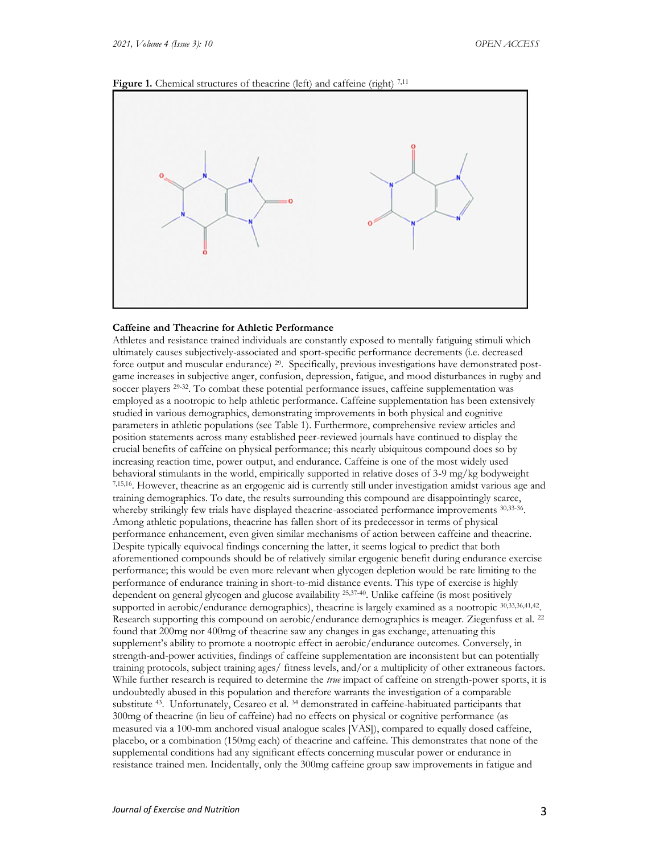



## **Caffeine and Theacrine for Athletic Performance**

Athletes and resistance trained individuals are constantly exposed to mentally fatiguing stimuli which ultimately causes subjectively-associated and sport-specific performance decrements (i.e. decreased force output and muscular endurance) 29. Specifically, previous investigations have demonstrated postgame increases in subjective anger, confusion, depression, fatigue, and mood disturbances in rugby and soccer players <sup>29.32</sup>. To combat these potential performance issues, caffeine supplementation was employed as a nootropic to help athletic performance. Caffeine supplementation has been extensively studied in various demographics, demonstrating improvements in both physical and cognitive parameters in athletic populations (see Table 1). Furthermore, comprehensive review articles and position statements across many established peer-reviewed journals have continued to display the crucial benefits of caffeine on physical performance; this nearly ubiquitous compound does so by increasing reaction time, power output, and endurance. Caffeine is one of the most widely used behavioral stimulants in the world, empirically supported in relative doses of 3-9 mg/kg bodyweight 7,15,16. However, theacrine as an ergogenic aid is currently still under investigation amidst various age and training demographics. To date, the results surrounding this compound are disappointingly scarce, whereby strikingly few trials have displayed theacrine-associated performance improvements  $30,33-36$ . Among athletic populations, theacrine has fallen short of its predecessor in terms of physical performance enhancement, even given similar mechanisms of action between caffeine and theacrine. Despite typically equivocal findings concerning the latter, it seems logical to predict that both aforementioned compounds should be of relatively similar ergogenic benefit during endurance exercise performance; this would be even more relevant when glycogen depletion would be rate limiting to the performance of endurance training in short-to-mid distance events. This type of exercise is highly dependent on general glycogen and glucose availability 25,37-40. Unlike caffeine (is most positively supported in aerobic/endurance demographics), theacrine is largely examined as a nootropic 30,33,36,41,42 . Research supporting this compound on aerobic/endurance demographics is meager. Ziegenfuss et al. <sup>22</sup> found that 200mg nor 400mg of theacrine saw any changes in gas exchange, attenuating this supplement's ability to promote a nootropic effect in aerobic/endurance outcomes. Conversely, in strength-and-power activities, findings of caffeine supplementation are inconsistent but can potentially training protocols, subject training ages/ fitness levels, and/or a multiplicity of other extraneous factors. While further research is required to determine the *true* impact of caffeine on strength-power sports, it is undoubtedly abused in this population and therefore warrants the investigation of a comparable substitute 43. Unfortunately, Cesareo et al. <sup>34</sup> demonstrated in caffeine-habituated participants that 300mg of theacrine (in lieu of caffeine) had no effects on physical or cognitive performance (as measured via a 100-mm anchored visual analogue scales [VAS]), compared to equally dosed caffeine, placebo, or a combination (150mg each) of theacrine and caffeine. This demonstrates that none of the supplemental conditions had any significant effects concerning muscular power or endurance in resistance trained men. Incidentally, only the 300mg caffeine group saw improvements in fatigue and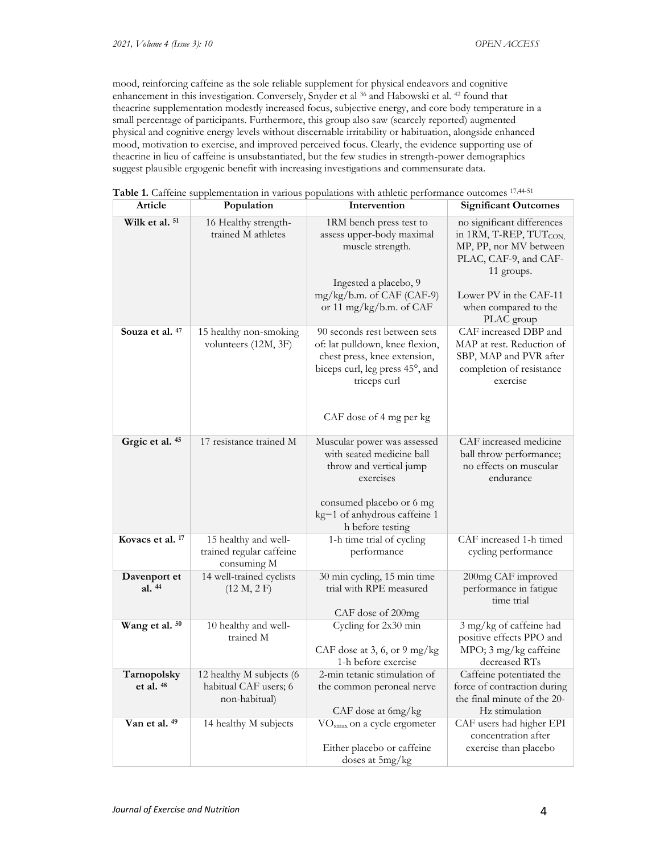mood, reinforcing caffeine as the sole reliable supplement for physical endeavors and cognitive enhancement in this investigation. Conversely, Snyder et al <sup>36</sup> and Habowski et al. <sup>42</sup> found that theacrine supplementation modestly increased focus, subjective energy, and core body temperature in a small percentage of participants. Furthermore, this group also saw (scarcely reported) augmented physical and cognitive energy levels without discernable irritability or habituation, alongside enhanced mood, motivation to exercise, and improved perceived focus. Clearly, the evidence supporting use of theacrine in lieu of caffeine is unsubstantiated, but the few studies in strength-power demographics suggest plausible ergogenic benefit with increasing investigations and commensurate data.

| Article                     | Population                                                         | Intervention                                                                                                                                                                     | <b>Significant Outcomes</b>                                                                                                       |
|-----------------------------|--------------------------------------------------------------------|----------------------------------------------------------------------------------------------------------------------------------------------------------------------------------|-----------------------------------------------------------------------------------------------------------------------------------|
| Wilk et al. 51              | 16 Healthy strength-<br>trained M athletes                         | 1RM bench press test to<br>assess upper-body maximal<br>muscle strength.<br>Ingested a placebo, 9                                                                                | no significant differences<br>in 1RM, T-REP, TUT <sub>CON,</sub><br>MP, PP, nor MV between<br>PLAC, CAF-9, and CAF-<br>11 groups. |
|                             |                                                                    | mg/kg/b.m. of CAF (CAF-9)<br>or 11 mg/kg/b.m. of CAF                                                                                                                             | Lower PV in the CAF-11<br>when compared to the<br>PLAC group                                                                      |
| Souza et al. 47             | 15 healthy non-smoking<br>volunteers (12M, 3F)                     | 90 seconds rest between sets<br>of: lat pulldown, knee flexion,<br>chest press, knee extension,<br>biceps curl, leg press 45°, and<br>triceps curl<br>CAF dose of 4 mg per kg    | CAF increased DBP and<br>MAP at rest. Reduction of<br>SBP, MAP and PVR after<br>completion of resistance<br>exercise              |
| Grgic et al. 45             | 17 resistance trained M                                            | Muscular power was assessed<br>with seated medicine ball<br>throw and vertical jump<br>exercises<br>consumed placebo or 6 mg<br>kg-1 of anhydrous caffeine 1<br>h before testing | CAF increased medicine<br>ball throw performance;<br>no effects on muscular<br>endurance                                          |
| Kovacs et al. <sup>17</sup> | 15 healthy and well-<br>trained regular caffeine<br>consuming M    | 1-h time trial of cycling<br>performance                                                                                                                                         | CAF increased 1-h timed<br>cycling performance                                                                                    |
| Davenport et<br>al. 44      | 14 well-trained cyclists<br>(12 M, 2 F)                            | 30 min cycling, 15 min time<br>trial with RPE measured<br>CAF dose of 200mg                                                                                                      | 200mg CAF improved<br>performance in fatigue<br>time trial                                                                        |
| Wang et al. 50              | 10 healthy and well-<br>trained M                                  | Cycling for 2x30 min<br>CAF dose at 3, 6, or 9 mg/kg<br>1-h before exercise                                                                                                      | 3 mg/kg of caffeine had<br>positive effects PPO and<br>MPO; 3 mg/kg caffeine<br>decreased RTs                                     |
| Tarnopolsky<br>et al. 48    | 12 healthy M subjects (6<br>habitual CAF users; 6<br>non-habitual) | 2-min tetanic stimulation of<br>the common peroneal nerve<br>CAF dose at 6mg/kg                                                                                                  | Caffeine potentiated the<br>force of contraction during<br>the final minute of the 20-<br>Hz stimulation                          |
| Van et al. 49               | 14 healthy M subjects                                              | VO <sub>smax</sub> on a cycle ergometer<br>Either placebo or caffeine<br>doses at 5mg/kg                                                                                         | CAF users had higher EPI<br>concentration after<br>exercise than placebo                                                          |

Table 1. Caffeine supplementation in various populations with athletic performance outcomes <sup>17,44-51</sup>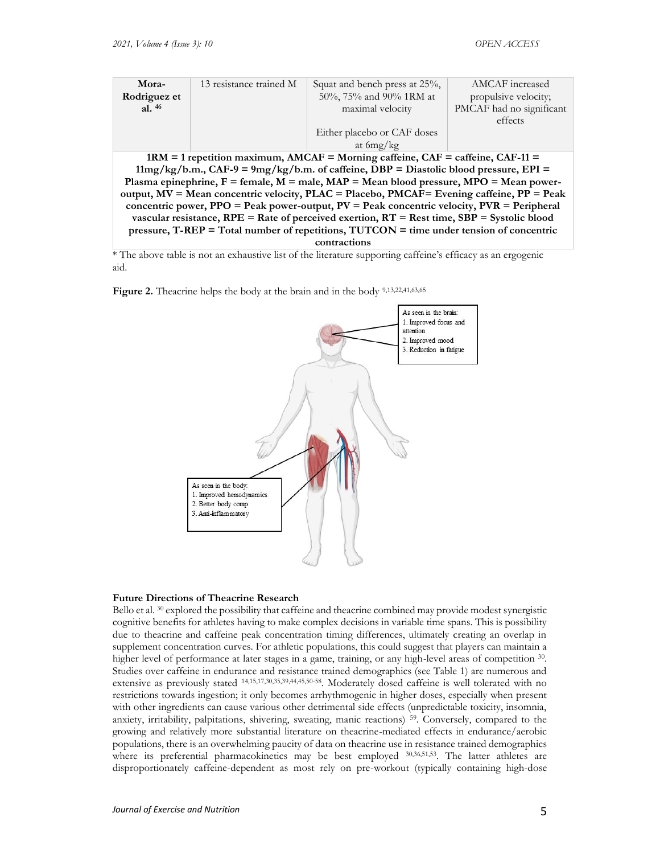| Mora-                                                                                             | 13 resistance trained M | Squat and bench press at 25%, | AMCAF increased          |  |  |
|---------------------------------------------------------------------------------------------------|-------------------------|-------------------------------|--------------------------|--|--|
| Rodriguez et                                                                                      |                         | 50%, 75% and 90% 1RM at       | propulsive velocity;     |  |  |
| al. $46$                                                                                          |                         | maximal velocity              | PMCAF had no significant |  |  |
|                                                                                                   |                         |                               | effects                  |  |  |
|                                                                                                   |                         | Either placebo or CAF doses   |                          |  |  |
|                                                                                                   |                         | at $6mg/kg$                   |                          |  |  |
| $1RM = 1$ repetition maximum, $AMCAF =$ Morning caffeine, $CAF =$ caffeine, $CAF-11 =$            |                         |                               |                          |  |  |
| $11mg/kg/b.m., CAF-9 = 9mg/kg/b.m.$ of caffeine, DBP = Diastolic blood pressure, EPI =            |                         |                               |                          |  |  |
| Plasma epinephrine, $F =$ female, $M =$ male, $MAP =$ Mean blood pressure, $MPO =$ Mean power-    |                         |                               |                          |  |  |
| output, MV = Mean concentric velocity, PLAC = Placebo, PMCAF= Evening caffeine, PP = Peak         |                         |                               |                          |  |  |
| concentric power, $PPO = Peak$ power-output, $PV = Peak$ concentric velocity, $PVR = Peripheral$  |                         |                               |                          |  |  |
| vascular resistance, $RPE = Rate$ of perceived exertion, $RT = Rest$ time, $SBP = Systolic blood$ |                         |                               |                          |  |  |
| pressure, $T$ -REP = Total number of repetitions, $TUTCON =$ time under tension of concentric     |                         |                               |                          |  |  |
| contractions                                                                                      |                         |                               |                          |  |  |

\* The above table is not an exhaustive list of the literature supporting caffeine's efficacy as an ergogenic aid.

Figure 2. Theacrine helps the body at the brain and in the body 9,13,22,41,63,65



# **Future Directions of Theacrine Research**

Bello et al. <sup>30</sup> explored the possibility that caffeine and theacrine combined may provide modest synergistic cognitive benefits for athletes having to make complex decisions in variable time spans. This is possibility due to theacrine and caffeine peak concentration timing differences, ultimately creating an overlap in supplement concentration curves. For athletic populations, this could suggest that players can maintain a higher level of performance at later stages in a game, training, or any high-level areas of competition  $30$ . Studies over caffeine in endurance and resistance trained demographics (see Table 1) are numerous and extensive as previously stated 14,15,17,30,35,39,44,45,50-58. Moderately dosed caffeine is well tolerated with no restrictions towards ingestion; it only becomes arrhythmogenic in higher doses, especially when present with other ingredients can cause various other detrimental side effects (unpredictable toxicity, insomnia, anxiety, irritability, palpitations, shivering, sweating, manic reactions) 59. Conversely, compared to the growing and relatively more substantial literature on theacrine-mediated effects in endurance/aerobic populations, there is an overwhelming paucity of data on theacrine use in resistance trained demographics where its preferential pharmacokinetics may be best employed  $30,36,51,53$ . The latter athletes are disproportionately caffeine-dependent as most rely on pre-workout (typically containing high-dose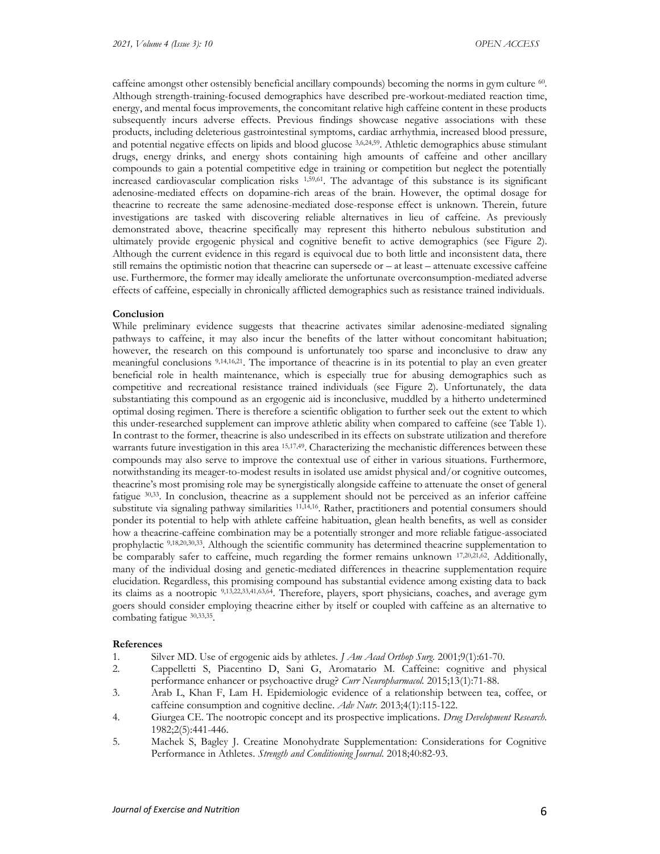caffeine amongst other ostensibly beneficial ancillary compounds) becoming the norms in gym culture <sup>60</sup>. Although strength-training-focused demographics have described pre-workout-mediated reaction time, energy, and mental focus improvements, the concomitant relative high caffeine content in these products subsequently incurs adverse effects. Previous findings showcase negative associations with these products, including deleterious gastrointestinal symptoms, cardiac arrhythmia, increased blood pressure, and potential negative effects on lipids and blood glucose 3,6,24,59. Athletic demographics abuse stimulant drugs, energy drinks, and energy shots containing high amounts of caffeine and other ancillary compounds to gain a potential competitive edge in training or competition but neglect the potentially increased cardiovascular complication risks 1,59,61. The advantage of this substance is its significant adenosine-mediated effects on dopamine-rich areas of the brain. However, the optimal dosage for theacrine to recreate the same adenosine-mediated dose-response effect is unknown. Therein, future investigations are tasked with discovering reliable alternatives in lieu of caffeine. As previously demonstrated above, theacrine specifically may represent this hitherto nebulous substitution and ultimately provide ergogenic physical and cognitive benefit to active demographics (see Figure 2). Although the current evidence in this regard is equivocal due to both little and inconsistent data, there still remains the optimistic notion that theacrine can supersede or – at least – attenuate excessive caffeine use. Furthermore, the former may ideally ameliorate the unfortunate overconsumption-mediated adverse effects of caffeine, especially in chronically afflicted demographics such as resistance trained individuals.

### **Conclusion**

While preliminary evidence suggests that theacrine activates similar adenosine-mediated signaling pathways to caffeine, it may also incur the benefits of the latter without concomitant habituation; however, the research on this compound is unfortunately too sparse and inconclusive to draw any meaningful conclusions 9,14,16,21. The importance of theacrine is in its potential to play an even greater beneficial role in health maintenance, which is especially true for abusing demographics such as competitive and recreational resistance trained individuals (see Figure 2). Unfortunately, the data substantiating this compound as an ergogenic aid is inconclusive, muddled by a hitherto undetermined optimal dosing regimen. There is therefore a scientific obligation to further seek out the extent to which this under-researched supplement can improve athletic ability when compared to caffeine (see Table 1). In contrast to the former, theacrine is also undescribed in its effects on substrate utilization and therefore warrants future investigation in this area <sup>15,17,49</sup>. Characterizing the mechanistic differences between these compounds may also serve to improve the contextual use of either in various situations. Furthermore, notwithstanding its meager-to-modest results in isolated use amidst physical and/or cognitive outcomes, theacrine's most promising role may be synergistically alongside caffeine to attenuate the onset of general fatigue 30,33. In conclusion, theacrine as a supplement should not be perceived as an inferior caffeine substitute via signaling pathway similarities <sup>11,14,16</sup>. Rather, practitioners and potential consumers should ponder its potential to help with athlete caffeine habituation, glean health benefits, as well as consider how a theacrine-caffeine combination may be a potentially stronger and more reliable fatigue-associated prophylactic <sup>9,18,20,30,33</sup>. Although the scientific community has determined theacrine supplementation to be comparably safer to caffeine, much regarding the former remains unknown  $^{17,20,21,62}$ . Additionally, many of the individual dosing and genetic-mediated differences in theacrine supplementation require elucidation. Regardless, this promising compound has substantial evidence among existing data to back its claims as a nootropic 9,13,22,33,41,63,64 . Therefore, players, sport physicians, coaches, and average gym goers should consider employing theacrine either by itself or coupled with caffeine as an alternative to combating fatigue 30,33,35 .

### **References**

- 1. Silver MD. Use of ergogenic aids by athletes. *J Am Acad Orthop Surg.* 2001;9(1):61-70.
- 2. Cappelletti S, Piacentino D, Sani G, Aromatario M. Caffeine: cognitive and physical performance enhancer or psychoactive drug? *Curr Neuropharmacol.* 2015;13(1):71-88.
- 3. Arab L, Khan F, Lam H. Epidemiologic evidence of a relationship between tea, coffee, or caffeine consumption and cognitive decline. *Adv Nutr.* 2013;4(1):115-122.
- 4. Giurgea CE. The nootropic concept and its prospective implications. *Drug Development Research.*  1982;2(5):441-446.
- 5. Machek S, Bagley J. Creatine Monohydrate Supplementation: Considerations for Cognitive Performance in Athletes. *Strength and Conditioning Journal.* 2018;40:82-93.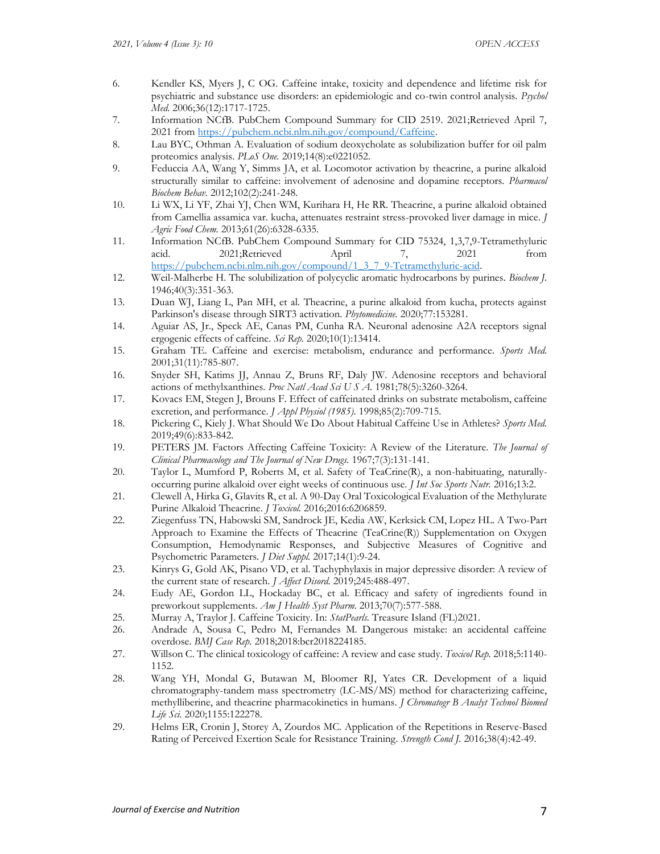- 6. Kendler KS, Myers J, C OG. Caffeine intake, toxicity and dependence and lifetime risk for psychiatric and substance use disorders: an epidemiologic and co-twin control analysis. *Psychol Med.* 2006;36(12):1717-1725.
- 7. Information NCfB. PubChem Compound Summary for CID 2519. 2021;Retrieved April 7, 2021 from [https://pubchem.ncbi.nlm.nih.gov/compound/Caffeine.](https://pubchem.ncbi.nlm.nih.gov/compound/Caffeine)
- 8. Lau BYC, Othman A. Evaluation of sodium deoxycholate as solubilization buffer for oil palm proteomics analysis. *PLoS One.* 2019;14(8):e0221052.
- 9. Feduccia AA, Wang Y, Simms JA, et al. Locomotor activation by theacrine, a purine alkaloid structurally similar to caffeine: involvement of adenosine and dopamine receptors. *Pharmacol Biochem Behav.* 2012;102(2):241-248.
- 10. Li WX, Li YF, Zhai YJ, Chen WM, Kurihara H, He RR. Theacrine, a purine alkaloid obtained from Camellia assamica var. kucha, attenuates restraint stress-provoked liver damage in mice. *J Agric Food Chem.* 2013;61(26):6328-6335.
- 11. Information NCfB. PubChem Compound Summary for CID 75324, 1,3,7,9-Tetramethyluric acid. 2021;Retrieved April 7, 2021 from [https://pubchem.ncbi.nlm.nih.gov/compound/1\\_3\\_7\\_9-Tetramethyluric-acid.](https://pubchem.ncbi.nlm.nih.gov/compound/1_3_7_9-Tetramethyluric-acid)
- 12. Weil-Malherbe H. The solubilization of polycyclic aromatic hydrocarbons by purines. *Biochem J.*  1946;40(3):351-363.
- 13. Duan WJ, Liang L, Pan MH, et al. Theacrine, a purine alkaloid from kucha, protects against Parkinson's disease through SIRT3 activation. *Phytomedicine.* 2020;77:153281.
- 14. Aguiar AS, Jr., Speck AE, Canas PM, Cunha RA. Neuronal adenosine A2A receptors signal ergogenic effects of caffeine. *Sci Rep.* 2020;10(1):13414.
- 15. Graham TE. Caffeine and exercise: metabolism, endurance and performance. *Sports Med.* 2001;31(11):785-807.
- 16. Snyder SH, Katims JJ, Annau Z, Bruns RF, Daly JW. Adenosine receptors and behavioral actions of methylxanthines. *Proc Natl Acad Sci U S A.* 1981;78(5):3260-3264.
- 17. Kovacs EM, Stegen J, Brouns F. Effect of caffeinated drinks on substrate metabolism, caffeine excretion, and performance. *J Appl Physiol (1985).* 1998;85(2):709-715.
- 18. Pickering C, Kiely J. What Should We Do About Habitual Caffeine Use in Athletes? *Sports Med.*  2019;49(6):833-842.
- 19. PETERS JM. Factors Affecting Caffeine Toxicity: A Review of the Literature. *The Journal of Clinical Pharmacology and The Journal of New Drugs.* 1967;7(3):131-141.
- 20. Taylor L, Mumford P, Roberts M, et al. Safety of TeaCrine(R), a non-habituating, naturallyoccurring purine alkaloid over eight weeks of continuous use. *J Int Soc Sports Nutr.* 2016;13:2.
- 21. Clewell A, Hirka G, Glavits R, et al. A 90-Day Oral Toxicological Evaluation of the Methylurate Purine Alkaloid Theacrine. *J Toxicol.* 2016;2016:6206859.
- 22. Ziegenfuss TN, Habowski SM, Sandrock JE, Kedia AW, Kerksick CM, Lopez HL. A Two-Part Approach to Examine the Effects of Theacrine (TeaCrine(R)) Supplementation on Oxygen Consumption, Hemodynamic Responses, and Subjective Measures of Cognitive and Psychometric Parameters. *J Diet Suppl.* 2017;14(1):9-24.
- 23. Kinrys G, Gold AK, Pisano VD, et al. Tachyphylaxis in major depressive disorder: A review of the current state of research. *J Affect Disord.* 2019;245:488-497.
- 24. Eudy AE, Gordon LL, Hockaday BC, et al. Efficacy and safety of ingredients found in preworkout supplements. *Am J Health Syst Pharm.* 2013;70(7):577-588.
- 25. Murray A, Traylor J. Caffeine Toxicity. In: *StatPearls.* Treasure Island (FL)2021.
- 26. Andrade A, Sousa C, Pedro M, Fernandes M. Dangerous mistake: an accidental caffeine overdose. *BMJ Case Rep.* 2018;2018:bcr2018224185.
- 27. Willson C. The clinical toxicology of caffeine: A review and case study. *Toxicol Rep.* 2018;5:1140- 1152.
- 28. Wang YH, Mondal G, Butawan M, Bloomer RJ, Yates CR. Development of a liquid chromatography-tandem mass spectrometry (LC-MS/MS) method for characterizing caffeine, methylliberine, and theacrine pharmacokinetics in humans. *J Chromatogr B Analyt Technol Biomed Life Sci.* 2020;1155:122278.
- 29. Helms ER, Cronin J, Storey A, Zourdos MC. Application of the Repetitions in Reserve-Based Rating of Perceived Exertion Scale for Resistance Training. *Strength Cond J.* 2016;38(4):42-49.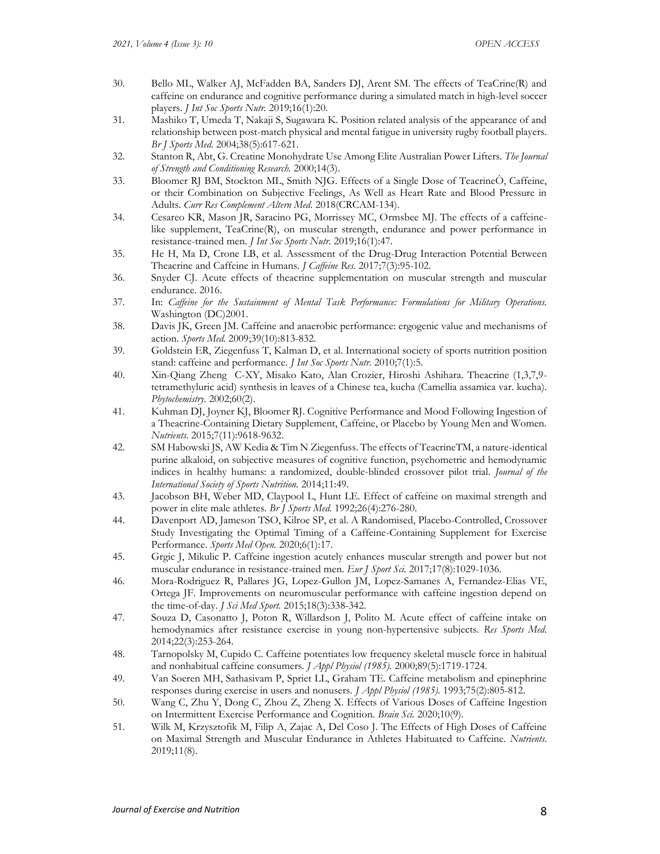- 30. Bello ML, Walker AJ, McFadden BA, Sanders DJ, Arent SM. The effects of TeaCrine(R) and caffeine on endurance and cognitive performance during a simulated match in high-level soccer players. *J Int Soc Sports Nutr.* 2019;16(1):20.
- 31. Mashiko T, Umeda T, Nakaji S, Sugawara K. Position related analysis of the appearance of and relationship between post-match physical and mental fatigue in university rugby football players. *Br J Sports Med.* 2004;38(5):617-621.
- 32. Stanton R, Abt, G. Creatine Monohydrate Use Among Elite Australian Power Lifters. *The Journal of Strength and Conditioning Research.* 2000;14(3).
- 33. Bloomer RJ BM, Stockton ML, Smith NJG. Effects of a Single Dose of TeacrineÒ, Caffeine, or their Combination on Subjective Feelings, As Well as Heart Rate and Blood Pressure in Adults. *Curr Res Complement Altern Med.* 2018(CRCAM-134).
- 34. Cesareo KR, Mason JR, Saracino PG, Morrissey MC, Ormsbee MJ. The effects of a caffeinelike supplement, TeaCrine(R), on muscular strength, endurance and power performance in resistance-trained men. *J Int Soc Sports Nutr.* 2019;16(1):47.
- 35. He H, Ma D, Crone LB, et al. Assessment of the Drug-Drug Interaction Potential Between Theacrine and Caffeine in Humans. *J Caffeine Res.* 2017;7(3):95-102.
- 36. Snyder CJ. Acute effects of theacrine supplementation on muscular strength and muscular endurance. 2016.
- 37. In: *Caffeine for the Sustainment of Mental Task Performance: Formulations for Military Operations.* Washington (DC)2001.
- 38. Davis JK, Green JM. Caffeine and anaerobic performance: ergogenic value and mechanisms of action. *Sports Med.* 2009;39(10):813-832.
- 39. Goldstein ER, Ziegenfuss T, Kalman D, et al. International society of sports nutrition position stand: caffeine and performance. *J Int Soc Sports Nutr.* 2010;7(1):5.
- 40. Xin-Qiang Zheng C-XY, Misako Kato, Alan Crozier, Hiroshi Ashihara. Theacrine (1,3,7,9 tetramethyluric acid) synthesis in leaves of a Chinese tea, kucha (Camellia assamica var. kucha). *Phytochemistry.* 2002;60(2).
- 41. Kuhman DJ, Joyner KJ, Bloomer RJ. Cognitive Performance and Mood Following Ingestion of a Theacrine-Containing Dietary Supplement, Caffeine, or Placebo by Young Men and Women. *Nutrients.* 2015;7(11):9618-9632.
- 42. SM Habowski JS, AW Kedia & Tim N Ziegenfuss. The effects of TeacrineTM, a nature-identical purine alkaloid, on subjective measures of cognitive function, psychometric and hemodynamic indices in healthy humans: a randomized, double-blinded crossover pilot trial. *Journal of the International Society of Sports Nutrition.* 2014;11:49.
- 43. Jacobson BH, Weber MD, Claypool L, Hunt LE. Effect of caffeine on maximal strength and power in elite male athletes. *Br J Sports Med.* 1992;26(4):276-280.
- 44. Davenport AD, Jameson TSO, Kilroe SP, et al. A Randomised, Placebo-Controlled, Crossover Study Investigating the Optimal Timing of a Caffeine-Containing Supplement for Exercise Performance. *Sports Med Open.* 2020;6(1):17.
- 45. Grgic J, Mikulic P. Caffeine ingestion acutely enhances muscular strength and power but not muscular endurance in resistance-trained men. *Eur J Sport Sci.* 2017;17(8):1029-1036.
- 46. Mora-Rodriguez R, Pallares JG, Lopez-Gullon JM, Lopez-Samanes A, Fernandez-Elias VE, Ortega JF. Improvements on neuromuscular performance with caffeine ingestion depend on the time-of-day. *J Sci Med Sport.* 2015;18(3):338-342.
- 47. Souza D, Casonatto J, Poton R, Willardson J, Polito M. Acute effect of caffeine intake on hemodynamics after resistance exercise in young non-hypertensive subjects. *Res Sports Med.*  2014;22(3):253-264.
- 48. Tarnopolsky M, Cupido C. Caffeine potentiates low frequency skeletal muscle force in habitual and nonhabitual caffeine consumers. *J Appl Physiol (1985).* 2000;89(5):1719-1724.
- 49. Van Soeren MH, Sathasivam P, Spriet LL, Graham TE. Caffeine metabolism and epinephrine responses during exercise in users and nonusers. *J Appl Physiol (1985).* 1993;75(2):805-812.
- 50. Wang C, Zhu Y, Dong C, Zhou Z, Zheng X. Effects of Various Doses of Caffeine Ingestion on Intermittent Exercise Performance and Cognition. *Brain Sci.* 2020;10(9).
- 51. Wilk M, Krzysztofik M, Filip A, Zajac A, Del Coso J. The Effects of High Doses of Caffeine on Maximal Strength and Muscular Endurance in Athletes Habituated to Caffeine. *Nutrients.*  2019;11(8).